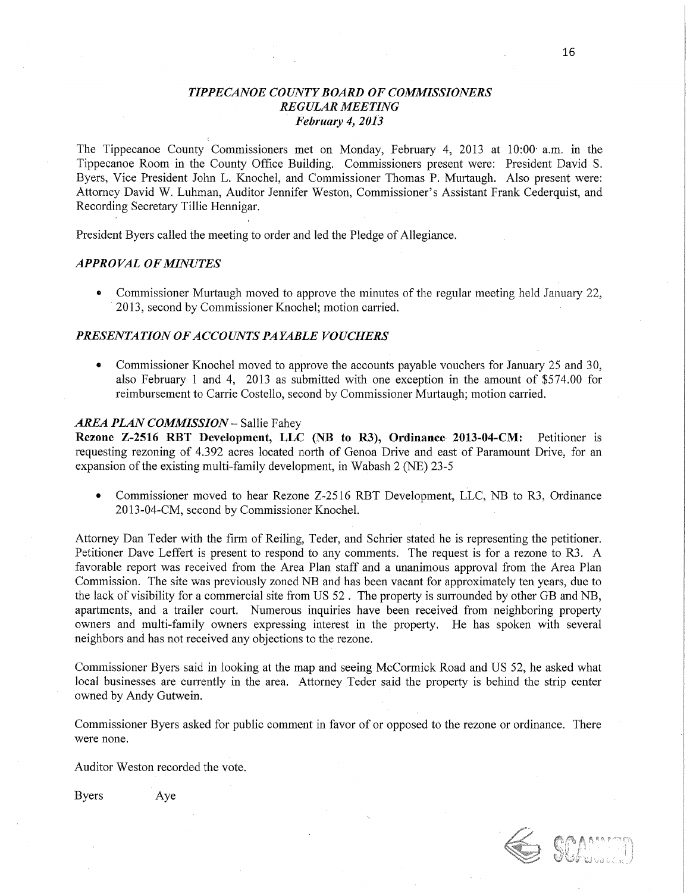## *TIPPE CANOE COUNT Y BOARD* OF *COMMISSIONERS REGULAR MEETING February* 4, *2013*

The Tippecanoe County Commissioners met on Monday, February 4, 2013 at 10:00' am. in the Tippecanoe Room in the County Office Building. Commissioners present were: President David S. Byers, Vice President John L. Knochel, and Commissioner Thomas P. Murtaugh. Also present were: Attorney David W. Luhman, Auditor Jennifer Weston, Commissioner's Assistant Frank Cederquist, and Recording Secretary Tillie Hennigar.

President Byers called the meeting to order and led the Pledge of Allegiance.

## *APPROVAL* OF *MINUTES* '

• Commissioner Murtaugh moved to approve the minutes of the regular meeting held January 22, 2013, second by Commissioner Knochel; motion carried.

## **PRESENTATION OF ACCOUNTS PAYABLE VOUCHERS**

**0** Commissioner Knochel moved to approve the accounfs payable vouchers for January 25 and 30, also February 1 and 4, 2013 as submitted with one exception in the amount of \$574.00 for reimbursement to Carrie Costello, second by Commissioner Murtaugh; motion carried.

#### *AREA PLAN COMMISSION —* Sallie Fahey

**Rezone 2-2516** RBT Development, LLC (NB to R3), **Ordinance 2013-04-CM:** Petitioner is requesting rezoning of 4.392 acres located north of Genoa Drive and east of Paramount Drive, for an expansion of the existing multi-family development, in Wabash 2 (NE) 23-5

• Commissioner moved to hear Rezone Z-2516 RBT Development, LLC, NB to R3, Ordinance 2013- 04- CM, second by Commissioner Knochel.

Attorney Dan Teder with the firm of Reiling, Teder, and Schrier stated he is representing the petitioner. Petitioner Dave Leffert is present to respond to any comments. The request is for **a** rezone to R3. A favorable report was received from the Area Plan staff and a unanimous approval from the Area Plan Commission. The site was previously zoned NB and has been vacant for approximately ten years, due to the lack of Visibility for a commercial site from US 52 *.* The property is surrounded by other GB and NB, apartments, and a trailer court. Numerous inquiries have been received from neighboring property owners and multi-family owners expressing interest in the property. He has spoken with several neighbors and has not received any objections to the rezone.

Commissioner Byers said in looking at the map and seeing McCormick Road and US 52, he asked what local businesses are currently in the area. Attorney Teder said the property is behind the strip center owned by Andy Gutwein.

Commissioner Byers asked for public comment in favor of or opposed to the rezone or ordinance. There were none.

Auditor Weston recorded the vote.

Byers Aye

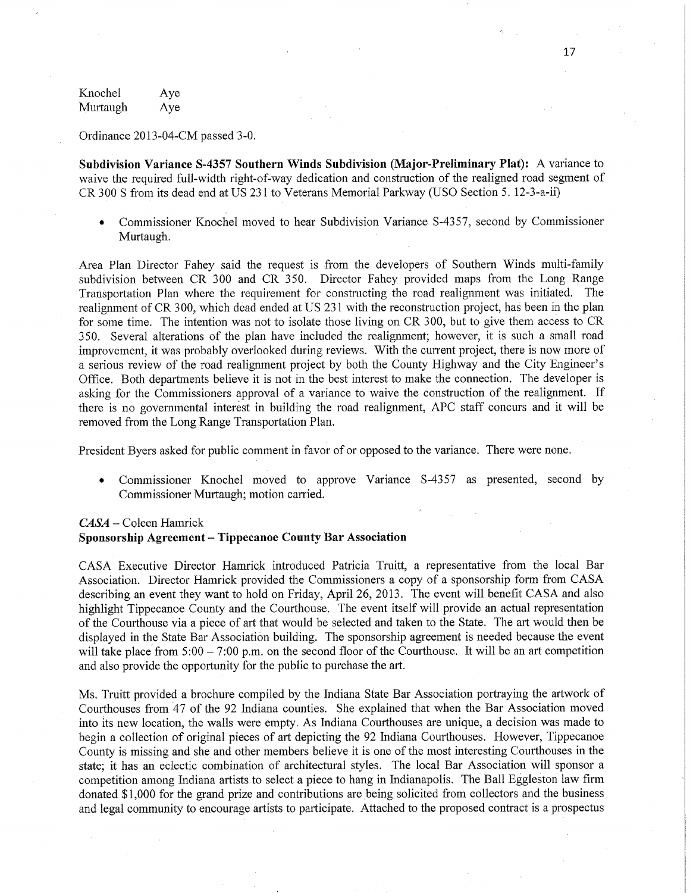Knochel Aye Murtaugh Aye

Ordinance 2013-04—CM passed 3-0.

Subdivision **Variance 8-4357 Southern Winds** Subdivision **(Major-Preliminary Plat):** A variance to waive the required full-width right-of-way dedication and construction of the realigned road segment of CR 300 S from its dead end at US 231 to Veterans Memorial Parkway (USO Section 5. 12-3-a-ii)

**0** Commissioner Knochel moved to hear Subdivision Variance 8-4357, second by Commissioner **Murtaugh.** '

Area Plan Director Fahey said the request is from the developers of Southern Winds multi-family subdivision between CR 300 and CR 350. Director Fahey provided maps from the Long Range Transportation Plan where the requirement for constructing the road realignment was initiated. The realignment of CR 300, which dead ended at US 231 with the reconstruction project, has been in the plan for some time. The intention was not to isolate those living on CR 300, but to give them access to CR **350.** Several alterations of the plan have included the realignment; however, it is such **a** small road improvement, it was probably overlooked during reviews. With the current project, there is now more of a serious review of the road realignment project by both the County Highway and the City Engineer's Office. Both departments believe it is not in the best interest to make the connection. The developer is asking for the Commissioners approval of a variance to waive the construction of the realignment. If there is no governmental interést in building the road realignment, APC staff concurs and it **will** be removed from the Long Range Transportation Plan.

President Byers asked for public comment in favor of or opposed to the variance. There were none.

• Commissioner Knochel moved to approve Variance S-4357 as presented, second by Commissioner Murtaugh; motion **carried.** 

## *CASA* **-** Coleen Hamrick **Sponsorship Agreement — Tippecanoe County** Bar **Association**

CASA Executive Director Hamrick introduced Patricia Truitt, a representative from the local Bar Association. Director **Hamrick** provided the Commissioners a copy of **a** sponsorship form from CASA describing an event they want to hold on Friday, April 26, 2013. The event will benefit **CASA** and also highlight Tippecanoe County and the Courthouse. The event itself will provide an actual representation of the Courthouse Via **a** piece of art **that** would be selected and **taken** to the State. The art would then be displayed in the State Bar Association building. The sponsorship agreement is needed because the event will take place from  $5:00 - 7:00$  p.m. on the second floor of the Courthouse. It will be an art competition and also provide the opportunity for the public to purchase the **art.** 

Ms. Truitt provided a brochure compiled by the. Indiana State Bar Association portraying the artwork of Courthouses from '47 of the 92 **Indiana** counties. She explained that when the Bar Association moved into its new location, the walls were empty. As Indiana Courthouses are unique, a decision was made to begin a collection of original pieces of art depicting the 92 **Indiana** Courthouses. However, Tippecanoe County is missing and she and other members believe it is one of the most interesting Courthouses in the state; it has an eclectic combination of architectural styles. The local Bar Association will sponsor <sup>a</sup> competition among Indiana artists to select a piece to hang in Indianapolis. The Ball Eggleston law firm donated \$1,000 for the grand prize and contributions are being solicited from collectors and the business and legal community to encourage artists to participate. Attached to the proposed contract is a prospectus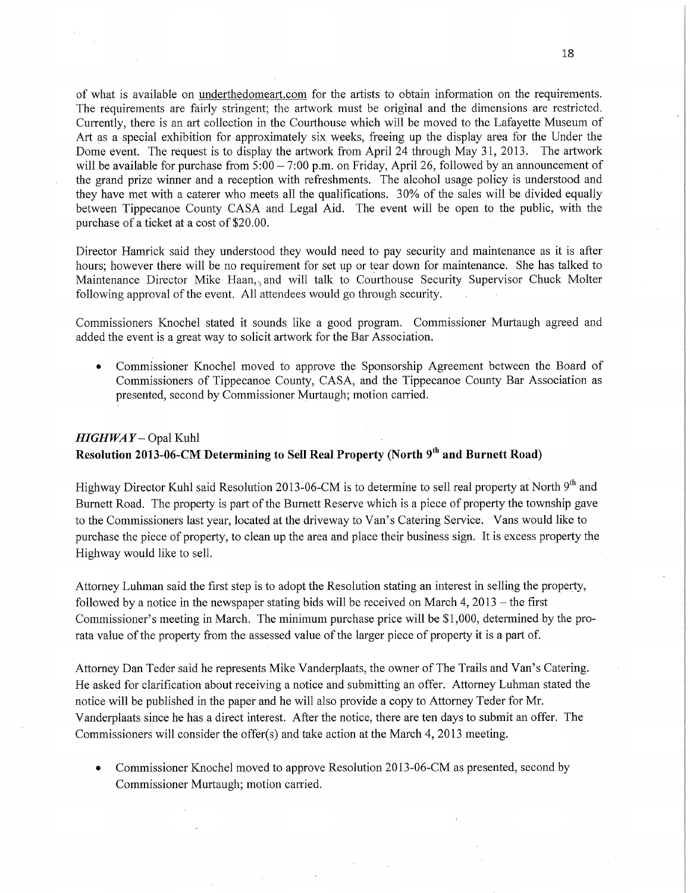of What is available on underthedomeart.com for the artists to obtain information on the requirements. The requirements are fairly stringent; the artwork must be original and the dimensions are restricted. Currently, there is an art collection in the Courthouse which will be moved to the Lafayette Museum of Art as a special exhibition for approximately six weeks, freeing up the display area for the Under the Dome event. The request is to display the artwork from April 24 through May 31, 2013. The artwork will be available for purchase from 5:00 - 7:00 p.m. on Friday, April 26, followed by an announcement of the grand prize winner and a reception with refreshments. The alcohol usage policy is understood and they have met with a caterer who meets all the qualifications. ' 30% of the sales will be divided equally between Tippecanoe County CASA and Legal Aid. The event will be open to the public, with the purchase of a ticket at a cost of \$20. 00.

Director Hamrick said they understood they would need to pay security and maintenance as it is after hours; however there will be no requirement for set up or tear down for maintenance. She has talked to Maintenance Director Mike Haan, and will talk to Courthouse Security Supervisor Chuck Molter following approval of the event. All attendees would go through security.

Commissioners Knochel stated it sounds like a good program. Commissioner Murtaugh agreed and added the event is a great way to solicit artwork for the Bar Association.

**0** Commissioner Knochel moved to approve the Sponsorship Agreement between the Board of Commissioners of Tippecanoe County, CASA, and the Tippecanoe County Bar Association as presented, second by Commissioner Murtaugh; motion carried.

## *HIGHWAY* - Opal Kuhl Resolution 2013-06-CM Determining to Sell Real Property (North 9<sup>th</sup> and Burnett Road)

Highway Director Kuhl said Resolution 2013-06-CM is to determine to sell real property at North 9<sup>th</sup> and Burnett Road. The property is part of the Burnett Reserve which is a piece of property the township gave to the Commissioners last year, located at the driveway to Van's Catering **Service.** Vans would like to purchase the piece of property, to clean up the area and place their business sign. It is excess property the Highway would like to sell.

Attorney Luhman said the first step is to adopt the Resolution stating an interest in selling the property, followed by a notice in the newspaper stating bids will be received on March 4, 2013 *—* the first Commissioner's meeting in March. The minimum purchase price will be \$1,000, determined by the prorata value of the property from the assessed value of the larger piece of property it is a part of.

Attorney Dan Teder said he represents Mike Vanderplaats, the owner of The Trails and Van's Catering. He asked for clarification about receiving **a** notice and submitting an offer. Attorney Luhman stated the notice will be published in the paper and he will also provide a copy to Attorney Teder for Mr. Vanderplaats since he has a direct interest. After the notice, there are ten days to submit an offer. The Commissioners will consider the offer(s) and take action at the March 4, 2013 meeting.

• Commissioner Knochel moved to approve Resolution 2013-06-CM as presented, second by Commissioner Murtaugh; motion carried.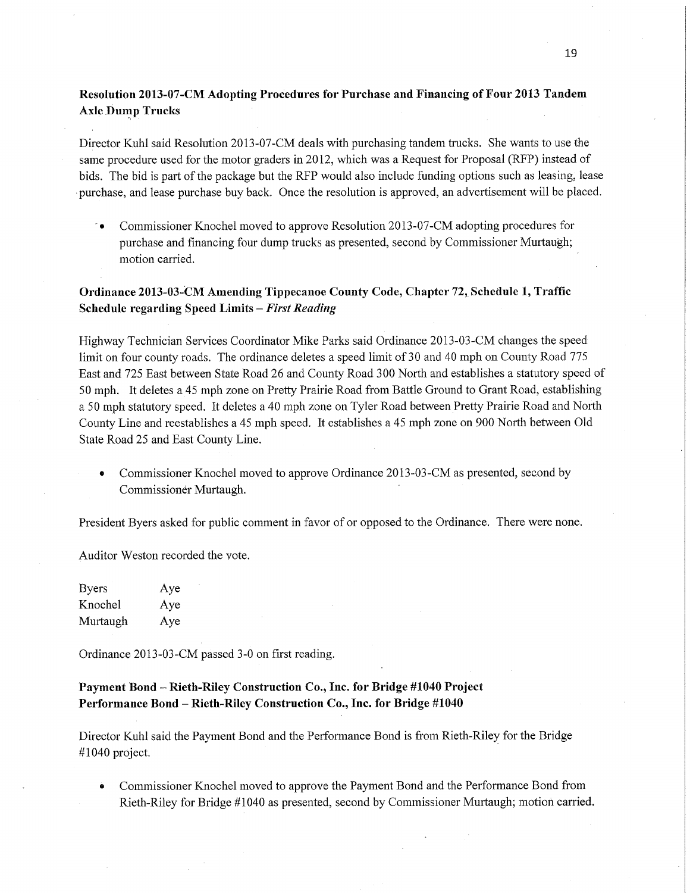# **Resolution 2013-** 07- CM **Adopting Procedures** for **Purchase** and **Financing** of **Four 2013 Tandem Axle Dump Trucks** *-*

Director Kuhl said Resolution 2013—07-CM deals with purchasing tandem trucks. She wants to use the same procedure used for the motor graders in 2012, which was **a** Request for Proposal (RFP) instead of bids. The bid is part of the package but the RFP would also include funding options such as leasing, lease purchase, and lease purchase buy back. Once the resolution is approved, an advertisement will be placed.

**•** Commissioner Knochel moved to approve Resolution 2013-07-CM adopting procedures for purchase and financing **four** dump **trucks** as presented, second by Commissioner Murtaugh; motion **carried.** 

## **Ordinance 2013-03-CM** Amending **Tippecanoe County Code, Chapter 72,. Schedule** 1, **Traffic**  Schedule **regarding** Speed Limits **—** *First Reading*

Highway Technician Services Coordinator **Mike** Parks said Ordinance 2013—03-CM changes the speed limit on four county roads. The ordinance deletes a speed limit of 30 and 40 mph on County Road 775 East and 725 East between State Road 26 and County Road 300 North and establishes a statutory speed of 50 mph. It deletes a 45 mph zone on Pretty Prairie Road from Battle Ground to Grant Road, establishing <sup>a</sup>50 mph statutory speed. It deletes a 40 mph zone on Tyler Road between Pretty Prairie Road and North County Line and reestablishes a 45 mph speed. It establishes a 45 mph zone on 900 North between Old State Road 25 and East County Line.

Commissioner Knochel moved to approve Ordinance 2013-03-CM as presented, second by Commissioner Murtaugh.

President Byers asked for public **comment** in favor of or opposed to the Ordinance. There were none.

Auditor Weston recorded the vote.

Byers Aye Knochel Aye Murtaugh Aye

Ordinance 2013-03—CM passed 3-0 on **first** reading.

## **Payment Bond —** Kieth-Riley **Construction Co., Inc.** for **Bridge #1040 Project Performance Bond — Rieth-Riley** Construction Co., **Inc.** for Bridge **#1040**

Director Kuhl said the Payment Bond and the Performance Bond is from Rieth-Riley for the Bridge #1040 project. **I** 

**0** Commissioner Knochel moved to approve the Payment Bond and the Performance Bond from Rieth—Riley for Bridge #1040 as presented, second by Commissioner Murtaugh; motion carried.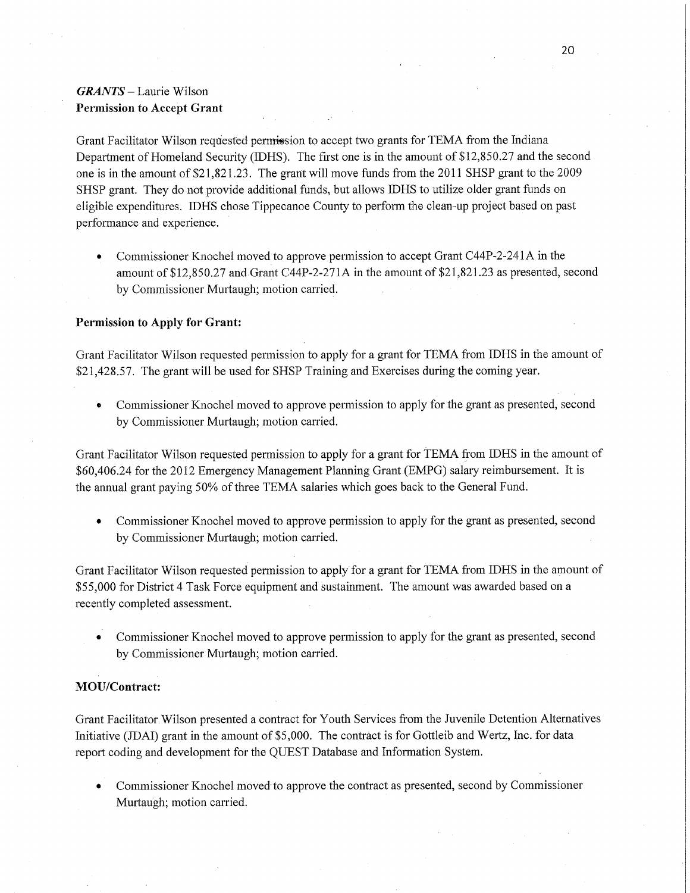# *GRANTS* — Laurie Wilson **Permission** to **Accept Grant**

Grant Facilitator Wilson requested permission to accept two grants for **TEMA** from the Indiana Department of Homeland Security (IDHS). The first one is in the amount of \$12,850.27 and the second one is in the amount of \$21,821.23. The grant will move **funds** from the 2011 SHSP grant to the 2009 **SHSP** grant. They do not provide additional funds, but allows IDHS to utilize older grant funds on eligible expenditures. IDHS chose Tippecanoe County to perform the clean—up project based on pas<sup>t</sup> performance and experience.

• Commissioner Knochel moved to approve permission to accept Grant C44P-2-241A in the amount of \$12,850.27 and Grant C44P-2-271A in the amount of \$21,821.23 as presented, second by Commissioner Murtaugh; motion carried.

#### **Permission** to **Apply** for **Grant:**

Grant Facilitator Wilson requested permission to apply for a grant for TEMA from IDHS in the amount of \$21,428.57. The grant will be used for. SHSP Training and Exercises during the **coming** year.

• Commissioner Knochel moved to approve permission to apply for the grant as presented, second by Commissioner Murtaugh; motion carried.

Grant Facilitator Wilson requested permission to apply for a grant for TEMA from **IDHS** 1n the amount of \$60,406.24 for the 2012 Emergency Management Planning Grant (EMPG) salary reimbursement. It is the annual grant paying 50% of three TEMA salaries which goes back to the General Fund.

*0* **Commissioner** Knochel moved to approve permission to apply for the grant as presented, second by Commissioner Murtaugh; motion carried.

Grant Facilitator Wilson requested permission to apply'for a grant for TEMA from IDHS in the amount of \$55,000 for District **4** Task Force equipment and sustainment. The amount was awarded based on <sup>a</sup> recently completed assessment.

0' Commissioner Knochel moved to approve **permission** to apply for the grant as presented, second by Commissioner Murtaugh; motion carried.

### **MOU/Contract:**

Grant Facilitator Wilson presented a contract for Youth Services from the Juvenile Detention Alternatives Initiative (JDAI) grant in the amount of \$5,000. The contract is for Gottleib and Wertz, Inc; for data report coding and development for the QUEST Database and Information System.

**0** Commissioner Knochel moved to approve the contract as presented, second by Commissioner Murtaugh; motion **carried.**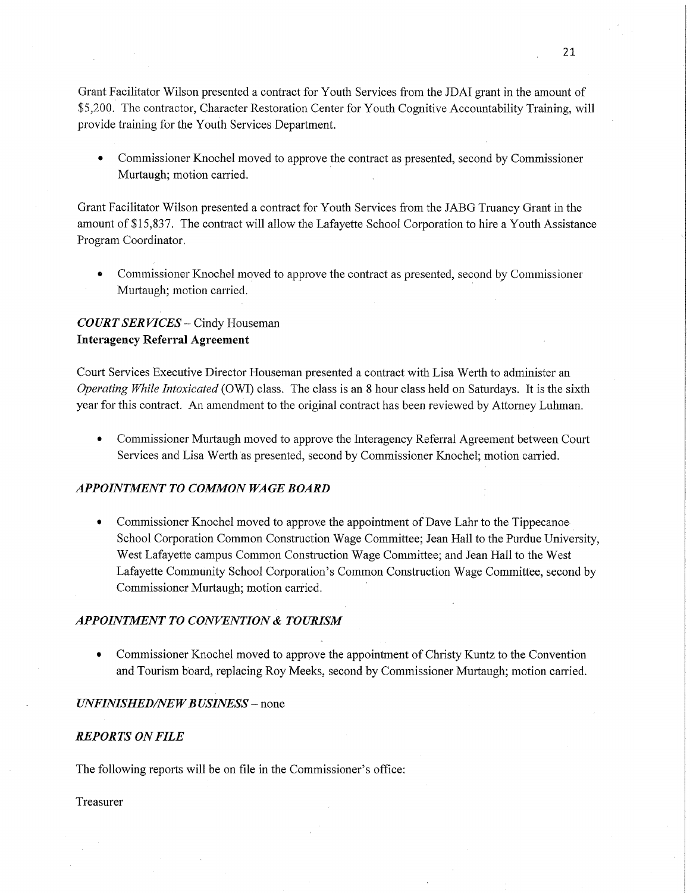Grant Facilitator Wilson presented a contract for Youth Services from the IDAI grant in the amount of \$5 ,200. The contractor, Character Restoration Center for Youth Cognitive Accountability Training, will provide training for the Youth Services Department.

**0** Commissioner Knochel moved to approve the contract as presented, second by Commissioner Murtaugh; motion carried.

Grant Facilitator Wilson presented a contract for Youth Services from the JABG Truancy Grant in the amount of \$15,837. The contract will allow the Lafayette School Corporation to hire a Youth Assistance Program Coordinator.

**0** Commissioner Knochel moved to approve the contract as presented, second by Commissioner Murtaugh; motion carried.

# *COURT* SER *VICES* —— Cindy Houseman **Interagency Referral Agreement**

Court Services Executive Director Houseman presented a contract with Lisa Werth to administer an *Operating While Intoxicated* (OWI) class. The class is an 8 hour class held on Saturdays. It is the sixth year for this contract. An amendment to the original contract has been reviewed by Attorney Luhman.

**0** Commissioner Murtaugh moved to approve the Interagency Referral Agreement between Court Services and Lisa Werth 'as presented, second by Commissioner Knochel; motion carried.

#### *APPOINTMENT* T0 *COMMON* WA GE *BOARD*

**-** Commissioner Knochel moved to approve the appointment of Dave Lahr to the Tippecanoe' School Corporation Common Construction Wage Committee; Jean Hall to the Purdue University, West Lafayette campus Common Construction Wage Committee; and Jean Hall to the West Lafayette Community School-Corporation's Common Construction Wage Committee, second by Commissioner Murtaugh; motion **carried.** '

### **APPOINTMENT TO CONVENTION & TOURISM**

• Commissioner Knochel moved to approve the appointment of Christy Kuntz to the Convention and Tourism board, replacing Roy Meeks, second by Commissioner Murtaugh; motion carried.

#### *UNFINISHED/NEW BUSINESS –* none

#### *REPORTS* ON *FILE*

The following reports will be on file in the Commissioner's office:

#### Treasurer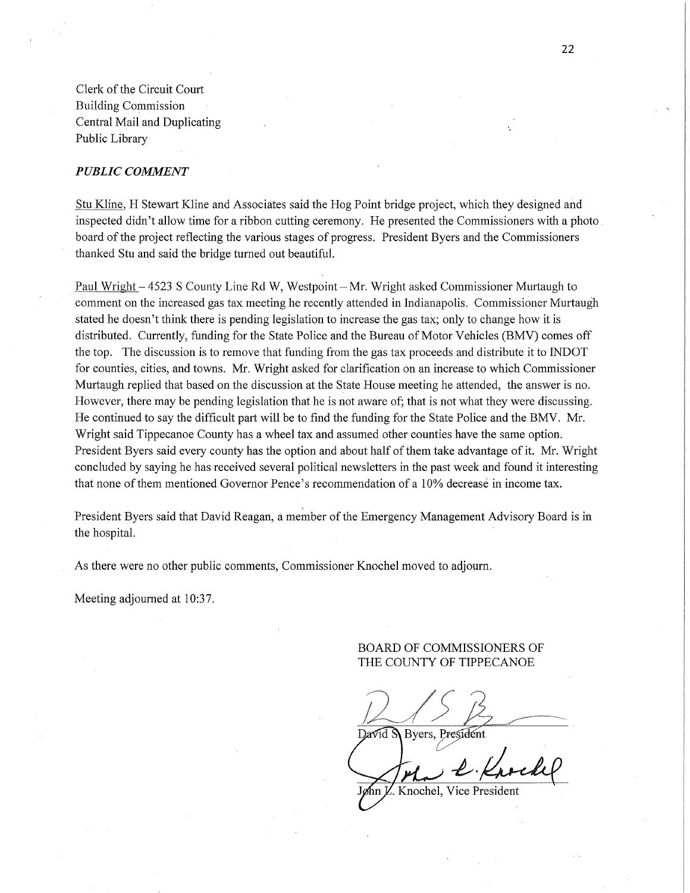Clerk of the Circuit Court Building Commission Central Mail and Duplicating Public Library

#### *PUBLIC COMMENT*

Stu Kline, H Stewart Kline and Associates said the Hog Point bridge project, which they designed and inspected didn't allow time for a ribbon cutting ceremony. He presented the Commissioners with a photo , board of the project reflecting the various stages of progress. President Byers and the Commissioners thanked Stu and said the bridge turned out beautiful.

' Paul Wright — 4523 S County Line Rd W, Westpoint *—* Mr. Wright asked Commissioner Murtaugh to comment on the increased gas tax meeting he recently attended in Indianapolis. Commissioner Murtaugh stated he doesn't think there is pending legislation to increase the gas tax; only to change how it is distributed. Currently, funding for the State Police and the Bureau of Motor Vehicles (BMV) comes off the top. The discussion is to remove that funding from the gas tax proceeds and distribute it to INDOT for counties, cities, and towns. **M.** Wright asked for clarification on an increase to which Commissioner Murtaugh replied that based on the discussion at the State House meeting he attended, the ahswer is no. However, there may be pending legislation that he is not aware of; that is not what they were discussing. He continued to say the difficult part will be to find the funding for the State Police and the BMV. Mr. Wright said Tippecanoe County has a wheel tax and assumed other counties have the same option. President Byers said every county has the option and about half of them take advantage of it. Mr. Wright concluded by saying he has received several political newsletters in the past Week and found it interesting that none of them mentioned Governor Pence's recommendation of a 10% decreasé in income tax.

President Byers said that David Reagan, a member of the Emergency Management Advisory Board is in the hospital. *'* 

As there were no other public comments, Commissioner Knochel moved to adjourn.

Meeting adjourned at 10:37.

#### BOARD OF COMMISSIONERS OF THE COUNTY OF TIPPECANOE

David S Byers, President

VL *J* 19M

**Ann L. Knochel, Vice President**